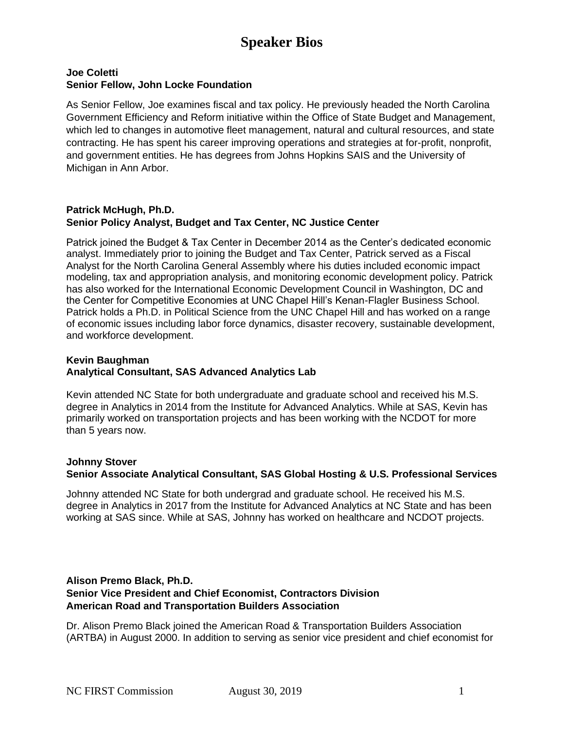# **Speaker Bios**

#### **Joe Coletti Senior Fellow, John Locke Foundation**

As Senior Fellow, Joe examines fiscal and tax policy. He previously headed the North Carolina Government Efficiency and Reform initiative within the Office of State Budget and Management, which led to changes in automotive fleet management, natural and cultural resources, and state contracting. He has spent his career improving operations and strategies at for-profit, nonprofit, and government entities. He has degrees from Johns Hopkins SAIS and the University of Michigan in Ann Arbor.

#### **Patrick McHugh, Ph.D. Senior Policy Analyst, Budget and Tax Center, NC Justice Center**

Patrick joined the Budget & Tax Center in December 2014 as the Center's dedicated economic analyst. Immediately prior to joining the Budget and Tax Center, Patrick served as a Fiscal Analyst for the North Carolina General Assembly where his duties included economic impact modeling, tax and appropriation analysis, and monitoring economic development policy. Patrick has also worked for the International Economic Development Council in Washington, DC and the Center for Competitive Economies at UNC Chapel Hill's Kenan-Flagler Business School. Patrick holds a Ph.D. in Political Science from the UNC Chapel Hill and has worked on a range of economic issues including labor force dynamics, disaster recovery, sustainable development, and workforce development.

## **Kevin Baughman Analytical Consultant, SAS Advanced Analytics Lab**

Kevin attended NC State for both undergraduate and graduate school and received his M.S. degree in Analytics in 2014 from the Institute for Advanced Analytics. While at SAS, Kevin has primarily worked on transportation projects and has been working with the NCDOT for more than 5 years now.

## **Johnny Stover**

## **Senior Associate Analytical Consultant, SAS Global Hosting & U.S. Professional Services**

Johnny attended NC State for both undergrad and graduate school. He received his M.S. degree in Analytics in 2017 from the Institute for Advanced Analytics at NC State and has been working at SAS since. While at SAS, Johnny has worked on healthcare and NCDOT projects.

#### **Alison Premo Black, Ph.D. Senior Vice President and Chief Economist, Contractors Division American Road and Transportation Builders Association**

Dr. Alison Premo Black joined the American Road & Transportation Builders Association (ARTBA) in August 2000. In addition to serving as senior vice president and chief economist for